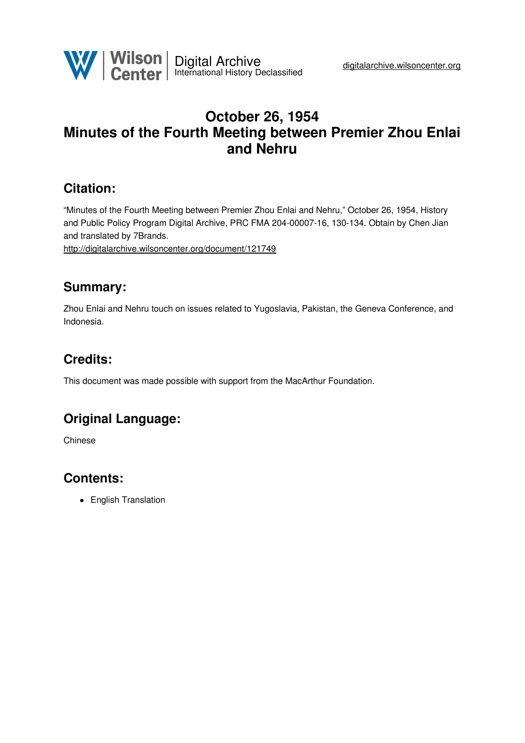

# **October 26, 1954 Minutes of the Fourth Meeting between Premier Zhou Enlai and Nehru**

## **Citation:**

"Minutes of the Fourth Meeting between Premier Zhou Enlai and Nehru," October 26, 1954, History and Public Policy Program Digital Archive, PRC FMA 204-00007-16, 130-134. Obtain by Chen Jian and translated by 7Brands.

<http://digitalarchive.wilsoncenter.org/document/121749>

## **Summary:**

Zhou Enlai and Nehru touch on issues related to Yugoslavia, Pakistan, the Geneva Conference, and Indonesia.

# **Credits:**

This document was made possible with support from the MacArthur Foundation.

# **Original Language:**

Chinese

# **Contents:**

• English Translation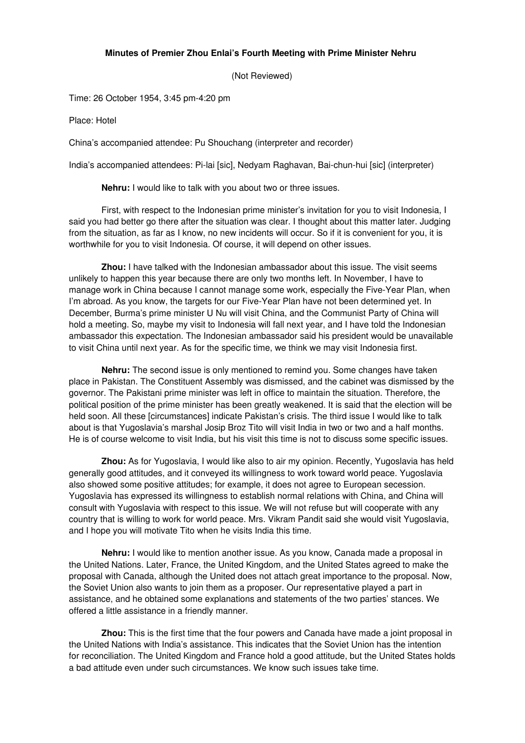#### **Minutes of Premier Zhou Enlai's Fourth Meeting with Prime Minister Nehru**

(Not Reviewed)

Time: 26 October 1954, 3:45 pm-4:20 pm

Place: Hotel

China's accompanied attendee: Pu Shouchang (interpreter and recorder)

India's accompanied attendees: Pi-lai [sic], Nedyam Raghavan, Bai-chun-hui [sic] (interpreter)

**Nehru:** I would like to talk with you about two or three issues.

First, with respect to the Indonesian prime minister's invitation for you to visit Indonesia, I said you had better go there after the situation was clear. I thought about this matter later. Judging from the situation, as far as I know, no new incidents will occur. So if it is convenient for you, it is worthwhile for you to visit Indonesia. Of course, it will depend on other issues.

**Zhou:** I have talked with the Indonesian ambassador about this issue. The visit seems unlikely to happen this year because there are only two months left. In November, I have to manage work in China because I cannot manage some work, especially the Five-Year Plan, when I'm abroad. As you know, the targets for our Five-Year Plan have not been determined yet. In December, Burma's prime minister U Nu will visit China, and the Communist Party of China will hold a meeting. So, maybe my visit to Indonesia will fall next year, and I have told the Indonesian ambassador this expectation. The Indonesian ambassador said his president would be unavailable to visit China until next year. As for the specific time, we think we may visit Indonesia first.

**Nehru:** The second issue is only mentioned to remind you. Some changes have taken place in Pakistan. The Constituent Assembly was dismissed, and the cabinet was dismissed by the governor. The Pakistani prime minister was left in office to maintain the situation. Therefore, the political position of the prime minister has been greatly weakened. It is said that the election will be held soon. All these [circumstances] indicate Pakistan's crisis. The third issue I would like to talk about is that Yugoslavia's marshal Josip Broz Tito will visit India in two or two and a half months. He is of course welcome to visit India, but his visit this time is not to discuss some specific issues.

**Zhou:** As for Yugoslavia, I would like also to air my opinion. Recently, Yugoslavia has held generally good attitudes, and it conveyed its willingness to work toward world peace. Yugoslavia also showed some positive attitudes; for example, it does not agree to European secession. Yugoslavia has expressed its willingness to establish normal relations with China, and China will consult with Yugoslavia with respect to this issue. We will not refuse but will cooperate with any country that is willing to work for world peace. Mrs. Vikram Pandit said she would visit Yugoslavia, and I hope you will motivate Tito when he visits India this time.

**Nehru:** I would like to mention another issue. As you know, Canada made a proposal in the United Nations. Later, France, the United Kingdom, and the United States agreed to make the proposal with Canada, although the United does not attach great importance to the proposal. Now, the Soviet Union also wants to join them as a proposer. Our representative played a part in assistance, and he obtained some explanations and statements of the two parties' stances. We offered a little assistance in a friendly manner.

**Zhou:** This is the first time that the four powers and Canada have made a joint proposal in the United Nations with India's assistance. This indicates that the Soviet Union has the intention for reconciliation. The United Kingdom and France hold a good attitude, but the United States holds a bad attitude even under such circumstances. We know such issues take time.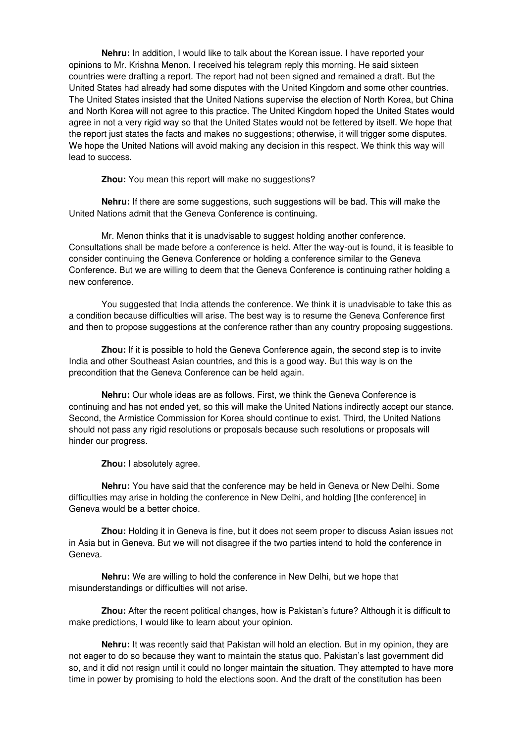**Nehru:** In addition, I would like to talk about the Korean issue. I have reported your opinions to Mr. Krishna Menon. I received his telegram reply this morning. He said sixteen countries were drafting a report. The report had not been signed and remained a draft. But the United States had already had some disputes with the United Kingdom and some other countries. The United States insisted that the United Nations supervise the election of North Korea, but China and North Korea will not agree to this practice. The United Kingdom hoped the United States would agree in not a very rigid way so that the United States would not be fettered by itself. We hope that the report just states the facts and makes no suggestions; otherwise, it will trigger some disputes. We hope the United Nations will avoid making any decision in this respect. We think this way will lead to success.

**Zhou:** You mean this report will make no suggestions?

**Nehru:** If there are some suggestions, such suggestions will be bad. This will make the United Nations admit that the Geneva Conference is continuing.

Mr. Menon thinks that it is unadvisable to suggest holding another conference. Consultations shall be made before a conference is held. After the way-out is found, it is feasible to consider continuing the Geneva Conference or holding a conference similar to the Geneva Conference. But we are willing to deem that the Geneva Conference is continuing rather holding a new conference.

You suggested that India attends the conference. We think it is unadvisable to take this as a condition because difficulties will arise. The best way is to resume the Geneva Conference first and then to propose suggestions at the conference rather than any country proposing suggestions.

**Zhou:** If it is possible to hold the Geneva Conference again, the second step is to invite India and other Southeast Asian countries, and this is a good way. But this way is on the precondition that the Geneva Conference can be held again.

**Nehru:** Our whole ideas are as follows. First, we think the Geneva Conference is continuing and has not ended yet, so this will make the United Nations indirectly accept our stance. Second, the Armistice Commission for Korea should continue to exist. Third, the United Nations should not pass any rigid resolutions or proposals because such resolutions or proposals will hinder our progress.

**Zhou:** I absolutely agree.

**Nehru:** You have said that the conference may be held in Geneva or New Delhi. Some difficulties may arise in holding the conference in New Delhi, and holding [the conference] in Geneva would be a better choice.

**Zhou:** Holding it in Geneva is fine, but it does not seem proper to discuss Asian issues not in Asia but in Geneva. But we will not disagree if the two parties intend to hold the conference in Geneva.

**Nehru:** We are willing to hold the conference in New Delhi, but we hope that misunderstandings or difficulties will not arise.

**Zhou:** After the recent political changes, how is Pakistan's future? Although it is difficult to make predictions, I would like to learn about your opinion.

**Nehru:** It was recently said that Pakistan will hold an election. But in my opinion, they are not eager to do so because they want to maintain the status quo. Pakistan's last government did so, and it did not resign until it could no longer maintain the situation. They attempted to have more time in power by promising to hold the elections soon. And the draft of the constitution has been